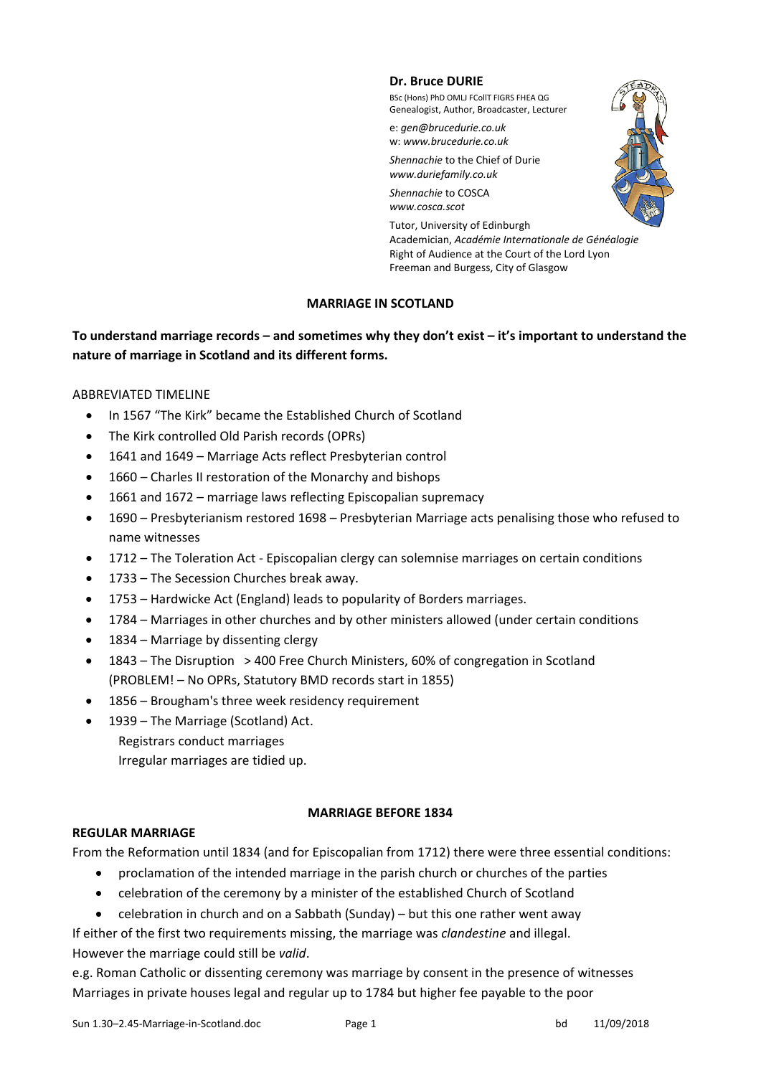#### **Dr. Bruce DURIE**

BSc (Hons) PhD OMLJ FCollT FIGRS FHEA QG Genealogist, Author, Broadcaster, Lecturer

e: *gen@brucedurie.co.uk* w: *www.brucedurie.co.uk*

*Shennachie* to the Chief of Durie *www.duriefamily.co.uk* 

*Shennachie* to COSCA *www.cosca.scot*



Tutor, University of Edinburgh Academician, *Académie Internationale de Généalogie* Right of Audience at the Court of the Lord Lyon Freeman and Burgess, City of Glasgow

# **MARRIAGE IN SCOTLAND**

# **To understand marriage records – and sometimes why they don't exist – it's important to understand the nature of marriage in Scotland and its different forms.**

### ABBREVIATED TIMELINE

- In 1567 "The Kirk" became the Established Church of Scotland
- The Kirk controlled Old Parish records (OPRs)
- 1641 and 1649 Marriage Acts reflect Presbyterian control
- 1660 Charles II restoration of the Monarchy and bishops
- 1661 and 1672 marriage laws reflecting Episcopalian supremacy
- 1690 Presbyterianism restored 1698 Presbyterian Marriage acts penalising those who refused to name witnesses
- 1712 The Toleration Act Episcopalian clergy can solemnise marriages on certain conditions
- 1733 The Secession Churches break away.
- 1753 Hardwicke Act (England) leads to popularity of Borders marriages.
- 1784 Marriages in other churches and by other ministers allowed (under certain conditions
- 1834 Marriage by dissenting clergy
- 1843 The Disruption > 400 Free Church Ministers, 60% of congregation in Scotland (PROBLEM! – No OPRs, Statutory BMD records start in 1855)
- 1856 Brougham's three week residency requirement
- 1939 The Marriage (Scotland) Act. Registrars conduct marriages Irregular marriages are tidied up.

### **MARRIAGE BEFORE 1834**

# **REGULAR MARRIAGE**

From the Reformation until 1834 (and for Episcopalian from 1712) there were three essential conditions:

- proclamation of the intended marriage in the parish church or churches of the parties
- celebration of the ceremony by a minister of the established Church of Scotland
- celebration in church and on a Sabbath (Sunday) but this one rather went away

If either of the first two requirements missing, the marriage was *clandestine* and illegal. However the marriage could still be *valid*.

e.g. Roman Catholic or dissenting ceremony was marriage by consent in the presence of witnesses Marriages in private houses legal and regular up to 1784 but higher fee payable to the poor